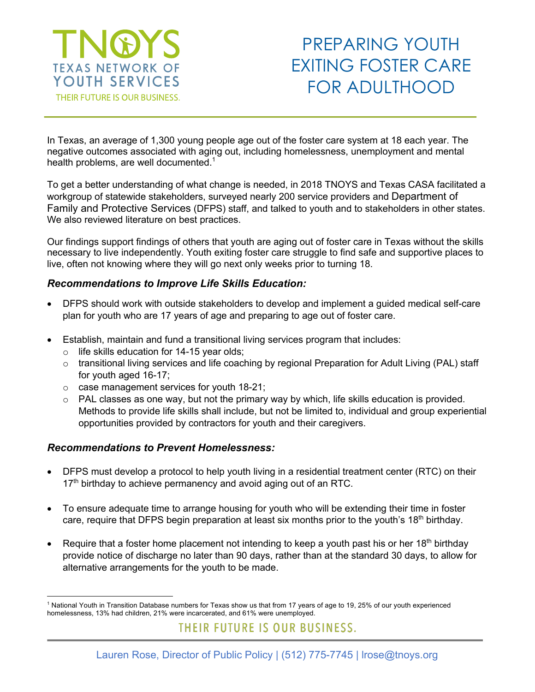

## PREPARING YOUTH EXITING FOSTER CARE FOR ADULTHOOD

In Texas, an average of 1,300 young people age out of the foster care system at 18 each year. The negative outcomes associated with aging out, including homelessness, unemployment and mental health problems, are well documented.<sup>1</sup>

To get a better understanding of what change is needed, in 2018 TNOYS and Texas CASA facilitated a workgroup of statewide stakeholders, surveyed nearly 200 service providers and Department of Family and Protective Services (DFPS) staff, and talked to youth and to stakeholders in other states. We also reviewed literature on best practices.

Our findings support findings of others that youth are aging out of foster care in Texas without the skills necessary to live independently. Youth exiting foster care struggle to find safe and supportive places to live, often not knowing where they will go next only weeks prior to turning 18.

## *Recommendations to Improve Life Skills Education:*

- DFPS should work with outside stakeholders to develop and implement a guided medical self-care plan for youth who are 17 years of age and preparing to age out of foster care.
- Establish, maintain and fund a transitional living services program that includes:
	- o life skills education for 14-15 year olds;
	- $\circ$  transitional living services and life coaching by regional Preparation for Adult Living (PAL) staff for youth aged 16-17;
	- o case management services for youth 18-21;
	- o PAL classes as one way, but not the primary way by which, life skills education is provided. Methods to provide life skills shall include, but not be limited to, individual and group experiential opportunities provided by contractors for youth and their caregivers.

## *Recommendations to Prevent Homelessness:*

- DFPS must develop a protocol to help youth living in a residential treatment center (RTC) on their  $17<sup>th</sup>$  birthday to achieve permanency and avoid aging out of an RTC.
- To ensure adequate time to arrange housing for youth who will be extending their time in foster care, require that DFPS begin preparation at least six months prior to the youth's 18<sup>th</sup> birthday.
- Require that a foster home placement not intending to keep a youth past his or her 18<sup>th</sup> birthday provide notice of discharge no later than 90 days, rather than at the standard 30 days, to allow for alternative arrangements for the youth to be made.

 $\overline{a}$ <sup>1</sup> National Youth in Transition Database numbers for Texas show us that from 17 years of age to 19, 25% of our youth experienced homelessness, 13% had children, 21% were incarcerated, and 61% were unemployed.

THEIR FUTURE IS OUR BUSINESS.